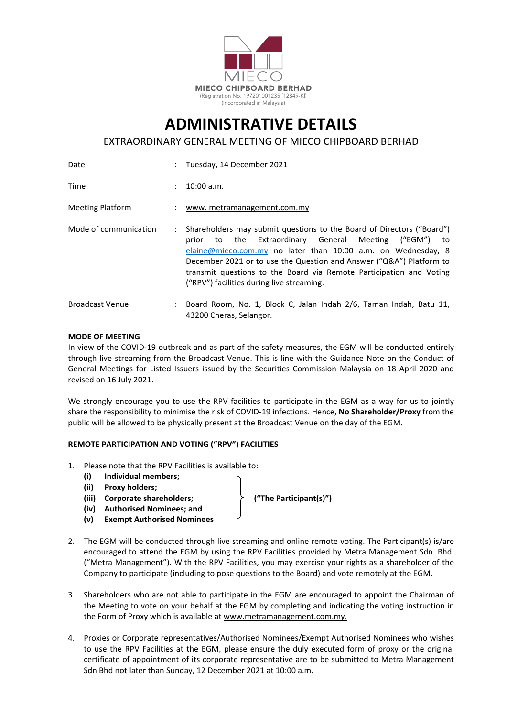

# **ADMINISTRATIVE DETAILS**

EXTRAORDINARY GENERAL MEETING OF MIECO CHIPBOARD BERHAD

| Date                    |    | : Tuesday, 14 December 2021                                                                                                                                                                                                                                                                                                                                                                     |  |
|-------------------------|----|-------------------------------------------------------------------------------------------------------------------------------------------------------------------------------------------------------------------------------------------------------------------------------------------------------------------------------------------------------------------------------------------------|--|
| Time                    | ÷. | $10:00$ a.m.                                                                                                                                                                                                                                                                                                                                                                                    |  |
| <b>Meeting Platform</b> |    | : www.metramanagement.com.my                                                                                                                                                                                                                                                                                                                                                                    |  |
| Mode of communication   |    | Shareholders may submit questions to the Board of Directors ("Board")<br>to the Extraordinary General Meeting ("EGM")<br>prior<br>to<br>elaine@mieco.com.my no later than 10:00 a.m. on Wednesday, 8<br>December 2021 or to use the Question and Answer ("Q&A") Platform to<br>transmit questions to the Board via Remote Participation and Voting<br>("RPV") facilities during live streaming. |  |
| <b>Broadcast Venue</b>  |    | : Board Room, No. 1, Block C, Jalan Indah 2/6, Taman Indah, Batu 11,<br>43200 Cheras, Selangor.                                                                                                                                                                                                                                                                                                 |  |

#### **MODE OF MEETING**

In view of the COVID‐19 outbreak and as part of the safety measures, the EGM will be conducted entirely through live streaming from the Broadcast Venue. This is line with the Guidance Note on the Conduct of General Meetings for Listed Issuers issued by the Securities Commission Malaysia on 18 April 2020 and revised on 16 July 2021.

We strongly encourage you to use the RPV facilities to participate in the EGM as a way for us to jointly share the responsibility to minimise the risk of COVID‐19 infections. Hence, **No Shareholder/Proxy** from the public will be allowed to be physically present at the Broadcast Venue on the day of the EGM.

#### **REMOTE PARTICIPATION AND VOTING ("RPV") FACILITIES**

- 1. Please note that the RPV Facilities is available to:
	- **(i) Individual members;**
	- **(ii) Proxy holders;**
	- **(iii) Corporate shareholders; ("The Participant(s)")**
	- **(iv) Authorised Nominees; and**
	- **(v) Exempt Authorised Nominees**

- 2. The EGM will be conducted through live streaming and online remote voting. The Participant(s) is/are encouraged to attend the EGM by using the RPV Facilities provided by Metra Management Sdn. Bhd. ("Metra Management"). With the RPV Facilities, you may exercise your rights as a shareholder of the Company to participate (including to pose questions to the Board) and vote remotely at the EGM.
- 3. Shareholders who are not able to participate in the EGM are encouraged to appoint the Chairman of the Meeting to vote on your behalf at the EGM by completing and indicating the voting instruction in the Form of Proxy which is available at www.metramanagement.com.my.
- 4. Proxies or Corporate representatives/Authorised Nominees/Exempt Authorised Nominees who wishes to use the RPV Facilities at the EGM, please ensure the duly executed form of proxy or the original certificate of appointment of its corporate representative are to be submitted to Metra Management Sdn Bhd not later than Sunday, 12 December 2021 at 10:00 a.m.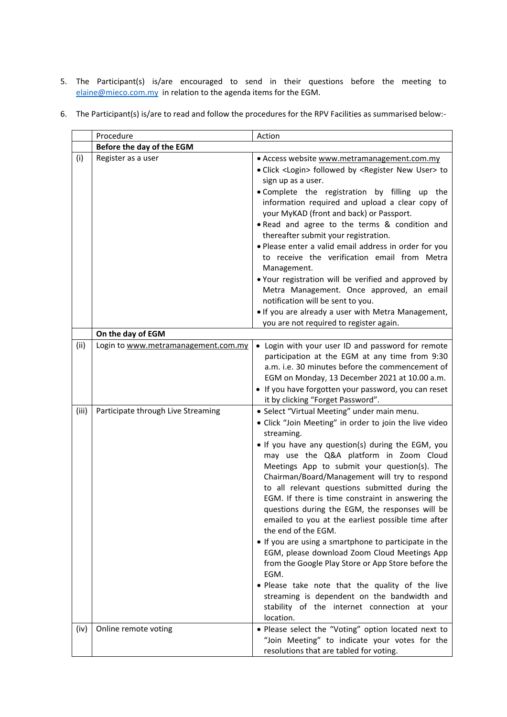5. The Participant(s) is/are encouraged to send in their questions before the meeting to elaine@mieco.com.my in relation to the agenda items for the EGM.

|  |  |  |  | 6. The Participant(s) is/are to read and follow the procedures for the RPV Facilities as summarised below:- |  |
|--|--|--|--|-------------------------------------------------------------------------------------------------------------|--|
|--|--|--|--|-------------------------------------------------------------------------------------------------------------|--|

|       | Procedure                           | Action                                                                                               |  |  |  |
|-------|-------------------------------------|------------------------------------------------------------------------------------------------------|--|--|--|
|       | Before the day of the EGM           |                                                                                                      |  |  |  |
| (i)   | Register as a user                  | • Access website www.metramanagement.com.my                                                          |  |  |  |
|       |                                     | • Click <login> followed by <register new="" user=""> to</register></login>                          |  |  |  |
|       |                                     | sign up as a user.                                                                                   |  |  |  |
|       |                                     | . Complete the registration by filling up the                                                        |  |  |  |
|       |                                     | information required and upload a clear copy of                                                      |  |  |  |
|       |                                     | your MyKAD (front and back) or Passport.                                                             |  |  |  |
|       |                                     | . Read and agree to the terms & condition and                                                        |  |  |  |
|       |                                     | thereafter submit your registration.                                                                 |  |  |  |
|       |                                     | . Please enter a valid email address in order for you                                                |  |  |  |
|       |                                     | to receive the verification email from Metra                                                         |  |  |  |
|       |                                     | Management.                                                                                          |  |  |  |
|       |                                     | . Your registration will be verified and approved by                                                 |  |  |  |
|       |                                     | Metra Management. Once approved, an email<br>notification will be sent to you.                       |  |  |  |
|       |                                     | . If you are already a user with Metra Management,                                                   |  |  |  |
|       |                                     | you are not required to register again.                                                              |  |  |  |
|       | On the day of EGM                   |                                                                                                      |  |  |  |
| (ii)  | Login to www.metramanagement.com.my | • Login with your user ID and password for remote                                                    |  |  |  |
|       |                                     | participation at the EGM at any time from 9:30                                                       |  |  |  |
|       |                                     | a.m. i.e. 30 minutes before the commencement of                                                      |  |  |  |
|       |                                     | EGM on Monday, 13 December 2021 at 10.00 a.m.                                                        |  |  |  |
|       |                                     | • If you have forgotten your password, you can reset                                                 |  |  |  |
|       |                                     | it by clicking "Forget Password".                                                                    |  |  |  |
| (iii) | Participate through Live Streaming  | · Select "Virtual Meeting" under main menu.                                                          |  |  |  |
|       |                                     | · Click "Join Meeting" in order to join the live video                                               |  |  |  |
|       |                                     | streaming.                                                                                           |  |  |  |
|       |                                     | . If you have any question(s) during the EGM, you                                                    |  |  |  |
|       |                                     | may use the Q&A platform in Zoom Cloud                                                               |  |  |  |
|       |                                     | Meetings App to submit your question(s). The                                                         |  |  |  |
|       |                                     | Chairman/Board/Management will try to respond                                                        |  |  |  |
|       |                                     | to all relevant questions submitted during the                                                       |  |  |  |
|       |                                     | EGM. If there is time constraint in answering the<br>questions during the EGM, the responses will be |  |  |  |
|       |                                     | emailed to you at the earliest possible time after                                                   |  |  |  |
|       |                                     | the end of the EGM.                                                                                  |  |  |  |
|       |                                     | • If you are using a smartphone to participate in the                                                |  |  |  |
|       |                                     | EGM, please download Zoom Cloud Meetings App                                                         |  |  |  |
|       |                                     | from the Google Play Store or App Store before the                                                   |  |  |  |
|       |                                     | EGM.                                                                                                 |  |  |  |
|       |                                     | . Please take note that the quality of the live                                                      |  |  |  |
|       |                                     | streaming is dependent on the bandwidth and                                                          |  |  |  |
|       |                                     | stability of the internet connection at your                                                         |  |  |  |
|       |                                     | location.                                                                                            |  |  |  |
| (iv)  | Online remote voting                | . Please select the "Voting" option located next to                                                  |  |  |  |
|       |                                     | "Join Meeting" to indicate your votes for the                                                        |  |  |  |
|       |                                     | resolutions that are tabled for voting.                                                              |  |  |  |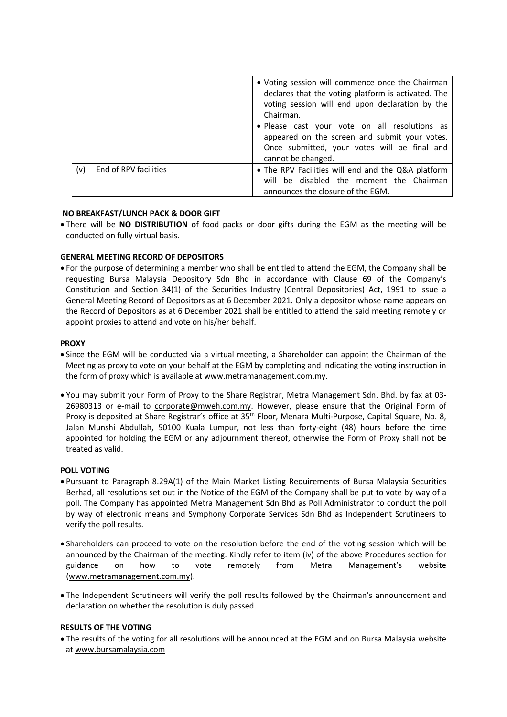|     |                       | • Voting session will commence once the Chairman<br>declares that the voting platform is activated. The<br>voting session will end upon declaration by the<br>Chairman.<br>· Please cast your vote on all resolutions as<br>appeared on the screen and submit your votes.<br>Once submitted, your votes will be final and<br>cannot be changed. |
|-----|-----------------------|-------------------------------------------------------------------------------------------------------------------------------------------------------------------------------------------------------------------------------------------------------------------------------------------------------------------------------------------------|
| (v) | End of RPV facilities | • The RPV Facilities will end and the Q&A platform<br>will be disabled the moment the Chairman<br>announces the closure of the EGM.                                                                                                                                                                                                             |

#### **NO BREAKFAST/LUNCH PACK & DOOR GIFT**

 There will be **NO DISTRIBUTION** of food packs or door gifts during the EGM as the meeting will be conducted on fully virtual basis.

### **GENERAL MEETING RECORD OF DEPOSITORS**

 For the purpose of determining a member who shall be entitled to attend the EGM, the Company shall be requesting Bursa Malaysia Depository Sdn Bhd in accordance with Clause 69 of the Company's Constitution and Section 34(1) of the Securities Industry (Central Depositories) Act, 1991 to issue a General Meeting Record of Depositors as at 6 December 2021. Only a depositor whose name appears on the Record of Depositors as at 6 December 2021 shall be entitled to attend the said meeting remotely or appoint proxies to attend and vote on his/her behalf.

#### **PROXY**

- Since the EGM will be conducted via a virtual meeting, a Shareholder can appoint the Chairman of the Meeting as proxy to vote on your behalf at the EGM by completing and indicating the voting instruction in the form of proxy which is available at www.metramanagement.com.my.
- You may submit your Form of Proxy to the Share Registrar, Metra Management Sdn. Bhd. by fax at 03‐ 26980313 or e-mail to corporate@mweh.com.my. However, please ensure that the Original Form of Proxy is deposited at Share Registrar's office at 35<sup>th</sup> Floor, Menara Multi-Purpose, Capital Square, No. 8, Jalan Munshi Abdullah, 50100 Kuala Lumpur, not less than forty‐eight (48) hours before the time appointed for holding the EGM or any adjournment thereof, otherwise the Form of Proxy shall not be treated as valid.

#### **POLL VOTING**

- Pursuant to Paragraph 8.29A(1) of the Main Market Listing Requirements of Bursa Malaysia Securities Berhad, all resolutions set out in the Notice of the EGM of the Company shall be put to vote by way of a poll. The Company has appointed Metra Management Sdn Bhd as Poll Administrator to conduct the poll by way of electronic means and Symphony Corporate Services Sdn Bhd as Independent Scrutineers to verify the poll results.
- Shareholders can proceed to vote on the resolution before the end of the voting session which will be announced by the Chairman of the meeting. Kindly refer to item (iv) of the above Procedures section for guidance on how to vote remotely from Metra Management's website (www.metramanagement.com.my).
- The Independent Scrutineers will verify the poll results followed by the Chairman's announcement and declaration on whether the resolution is duly passed.

#### **RESULTS OF THE VOTING**

 The results of the voting for all resolutions will be announced at the EGM and on Bursa Malaysia website at www.bursamalaysia.com